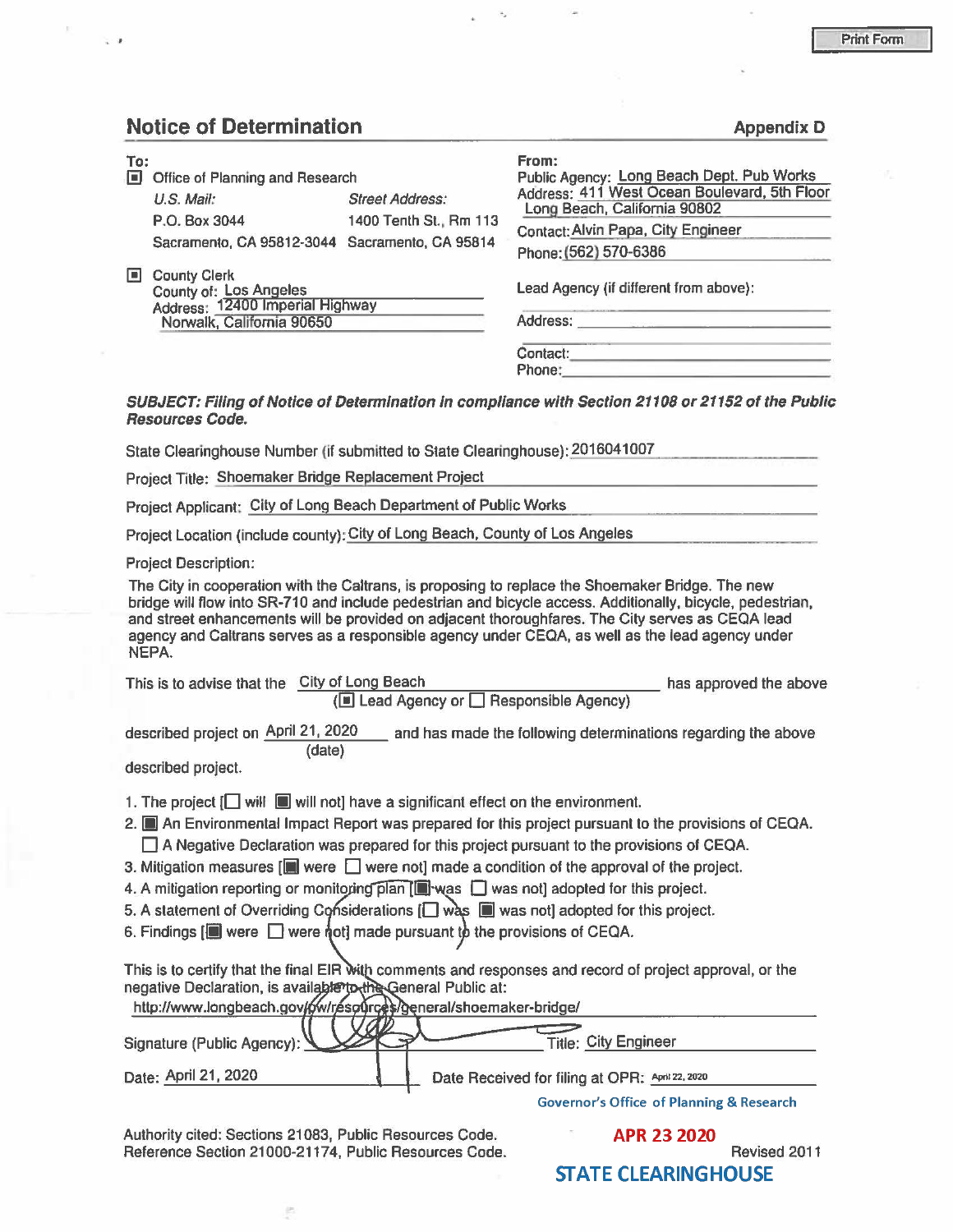#### **Notice of Determination Appendix D Appendix D**

..

| 间              | Office of Planning and Research<br>$U.S.$ Mail:<br>P.O. Box 3044                 | <b>Street Address:</b> | Public Agency: Long Beach Dept. Pub Works<br>Address: 411 West Ocean Boulevard, 5th Floor<br>Long Beach, California 90802 |  |
|----------------|----------------------------------------------------------------------------------|------------------------|---------------------------------------------------------------------------------------------------------------------------|--|
|                |                                                                                  |                        |                                                                                                                           |  |
|                |                                                                                  |                        |                                                                                                                           |  |
|                |                                                                                  | 1400 Tenth St., Rm 113 | Contact: Alvin Papa, City Engineer                                                                                        |  |
|                | Sacramento, CA 95812-3044 Sacramento, CA 95814                                   |                        |                                                                                                                           |  |
|                |                                                                                  |                        | Phone: (562) 570-6386                                                                                                     |  |
| $\blacksquare$ | <b>County Clerk</b><br>County of: Los Angeles<br>Address: 12400 Imperial Highway |                        | Lead Agency (if different from above):                                                                                    |  |
|                |                                                                                  |                        |                                                                                                                           |  |
|                |                                                                                  |                        |                                                                                                                           |  |
|                | Norwalk, California 90650                                                        |                        | Address:                                                                                                                  |  |
|                |                                                                                  |                        | Contact:                                                                                                                  |  |
|                |                                                                                  |                        | Phone:                                                                                                                    |  |

**SUBJECT: FJ/lng of Notice of Determination In compliance with Section 21108 or 21152 of the Public Resources Code.** 

State Clearinghouse Number (if submitted to State Clearinghouse): 2016041007

Project Title: Shoemaker Bridge Replacement Project

Project Applicant; City of Long Beach Department of Public Works

Project Location (include county): City of Long Beach, County of Los Angeles

Project Description:

The City in cooperation with the Caltrans, is proposing to replace the Shoemaker Bridge. The new bridge will flow into SR-710 and include pedestrian and bicycle access. Additionally, bicycle, pedestrian, and street enhancements will be provided on adjacent thoroughfares. The City serves as CEOA lead agency and Caltrans serves as a responsible agency under CEQA, as well as the lead agency under NEPA.

| This is to advise that the City of Long Beach |        | (■ Lead Agency or □ Responsible Agency)                       | has approved the above |
|-----------------------------------------------|--------|---------------------------------------------------------------|------------------------|
| described project on April 21, 2020           | (date) | and has made the following determinations regarding the above |                        |

described project.

- 1. The project  $[\Box]$  will  $[\Box]$  will not] have a significant effect on the environment.
- 2. **III** An Environmental Impact Report was prepared for this project pursuant to the provisions of CEQA.  $\Box$  A Negative Declaration was prepared for this project pursuant to the provisions of CEQA.
- 3. Mitigation measures  $\left[\blacksquare\right]$  were  $\Box$  were not] made a condition of the approval of the project.
- 4. A mitigation reporting or monitoring plan  $\Box$  was  $\Box$  was not] adopted for this project.
- 5. A statement of Overriding Considerations  $[$  was  $\Box$  was not] adopted for this project.
- 6. Findings  $[\blacksquare]$  were  $\blacksquare$  were not] made pursuant to the provisions of CEQA.

This is to certify that the final EIR with comments and responses and record of project approval, or the negative Declaration, is available to the General Public at:

| http://www.longbeach.gov/6w/resources/general/shoemaker-bridge/ |                                                 |
|-----------------------------------------------------------------|-------------------------------------------------|
| Signature (Public Agency): V                                    | <b>Title: City Engineer</b>                     |
| Date: April 21, 2020                                            | Date Received for filing at OPR: April 22, 2020 |

**Governor's Office of Planning & Research** 

Authority cited: Sections 21083, Public Resources Code. Reference Section 21000-21174, Public Resources Code. 
Revised 2011

皆

**APR 23 2020 STATE CLEARINGHOUSE**